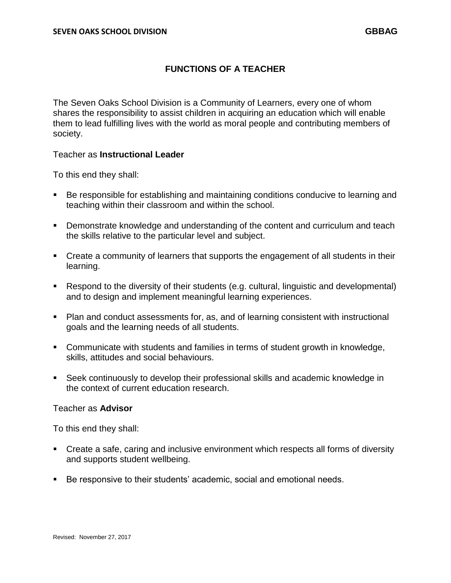# **FUNCTIONS OF A TEACHER**

The Seven Oaks School Division is a Community of Learners, every one of whom shares the responsibility to assist children in acquiring an education which will enable them to lead fulfilling lives with the world as moral people and contributing members of society.

### Teacher as **Instructional Leader**

To this end they shall:

- Be responsible for establishing and maintaining conditions conducive to learning and teaching within their classroom and within the school.
- Demonstrate knowledge and understanding of the content and curriculum and teach the skills relative to the particular level and subject.
- Create a community of learners that supports the engagement of all students in their learning.
- Respond to the diversity of their students (e.g. cultural, linguistic and developmental) and to design and implement meaningful learning experiences.
- Plan and conduct assessments for, as, and of learning consistent with instructional goals and the learning needs of all students.
- Communicate with students and families in terms of student growth in knowledge, skills, attitudes and social behaviours.
- Seek continuously to develop their professional skills and academic knowledge in the context of current education research.

### Teacher as **Advisor**

To this end they shall:

- Create a safe, caring and inclusive environment which respects all forms of diversity and supports student wellbeing.
- Be responsive to their students' academic, social and emotional needs.